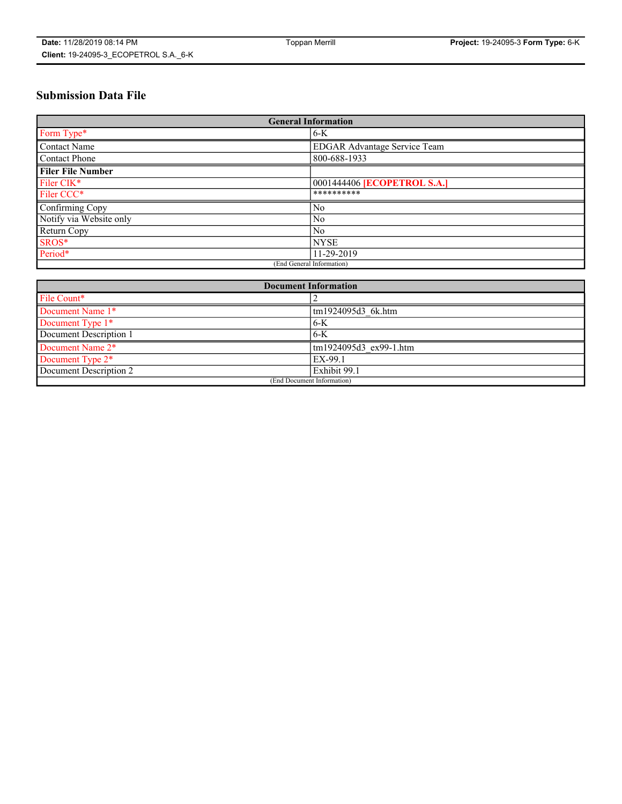# **Submission Data File**

| <b>General Information</b> |                                     |
|----------------------------|-------------------------------------|
| Form Type*                 | $6-K$                               |
| Contact Name               | <b>EDGAR Advantage Service Team</b> |
| Contact Phone              | 800-688-1933                        |
| <b>Filer File Number</b>   |                                     |
| Filer CIK*                 | 0001444406 <b>[ECOPETROL S.A.]</b>  |
| Filer CCC*                 | **********                          |
| Confirming Copy            | N <sub>0</sub>                      |
| Notify via Website only    | N <sub>0</sub>                      |
| Return Copy                | N <sub>0</sub>                      |
| SROS*                      | <b>NYSE</b>                         |
| Period*                    | 11-29-2019                          |
| (End General Information)  |                                     |

| <b>Document Information</b> |                        |
|-----------------------------|------------------------|
| File Count*                 |                        |
| Document Name 1*            | tm1924095d3 6k.htm     |
| Document Type 1*            | $6 - K$                |
| Document Description 1      | $-6-K$                 |
| Document Name 2*            | tm1924095d3 ex99-1.htm |
| Document Type 2*            | EX-99.1                |
| Document Description 2      | Exhibit 99.1           |
| (End Document Information)  |                        |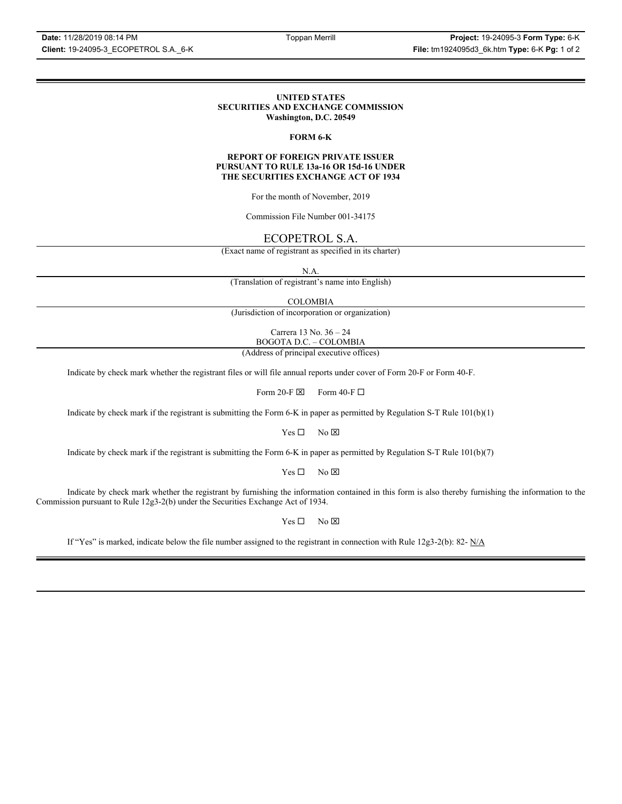### **UNITED STATES SECURITIES AND EXCHANGE COMMISSION Washington, D.C. 20549**

## **FORM 6-K**

### **REPORT OF FOREIGN PRIVATE ISSUER PURSUANT TO RULE 13a-16 OR 15d-16 UNDER THE SECURITIES EXCHANGE ACT OF 1934**

For the month of November, 2019

Commission File Number 001-34175

## ECOPETROL S.A.

(Exact name of registrant as specified in its charter)

N.A.

(Translation of registrant's name into English)

COLOMBIA

(Jurisdiction of incorporation or organization)

Carrera 13 No. 36 – 24 BOGOTA D.C. – COLOMBIA

(Address of principal executive offices)

Indicate by check mark whether the registrant files or will file annual reports under cover of Form 20-F or Form 40-F.

Form 20-F  $\boxtimes$  Form 40-F  $\Box$ 

Indicate by check mark if the registrant is submitting the Form 6-K in paper as permitted by Regulation S-T Rule 101(b)(1)

 $Yes \Box$  No  $\boxtimes$ 

Indicate by check mark if the registrant is submitting the Form 6-K in paper as permitted by Regulation S-T Rule 101(b)(7)

 $Yes \Box$  No  $\boxtimes$ 

Indicate by check mark whether the registrant by furnishing the information contained in this form is also thereby furnishing the information to the Commission pursuant to Rule 12g3-2(b) under the Securities Exchange Act of 1934.

 $Yes \Box$  No  $\boxtimes$ 

If "Yes" is marked, indicate below the file number assigned to the registrant in connection with Rule 12g3-2(b): 82- N/A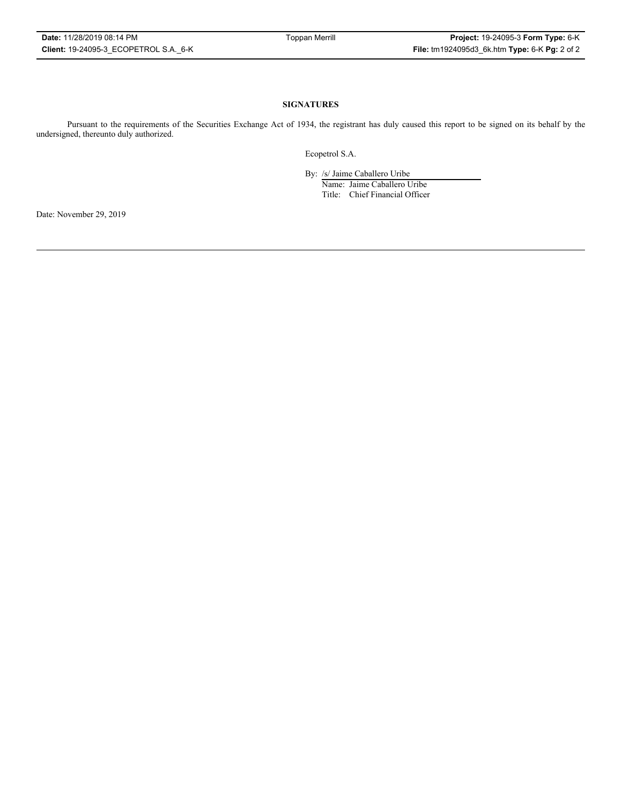### **SIGNATURES**

Pursuant to the requirements of the Securities Exchange Act of 1934, the registrant has duly caused this report to be signed on its behalf by the undersigned, thereunto duly authorized.

Ecopetrol S.A.

By: /s/ Jaime Caballero Uribe

Name: Jaime Caballero Uribe Title: Chief Financial Officer

Date: November 29, 2019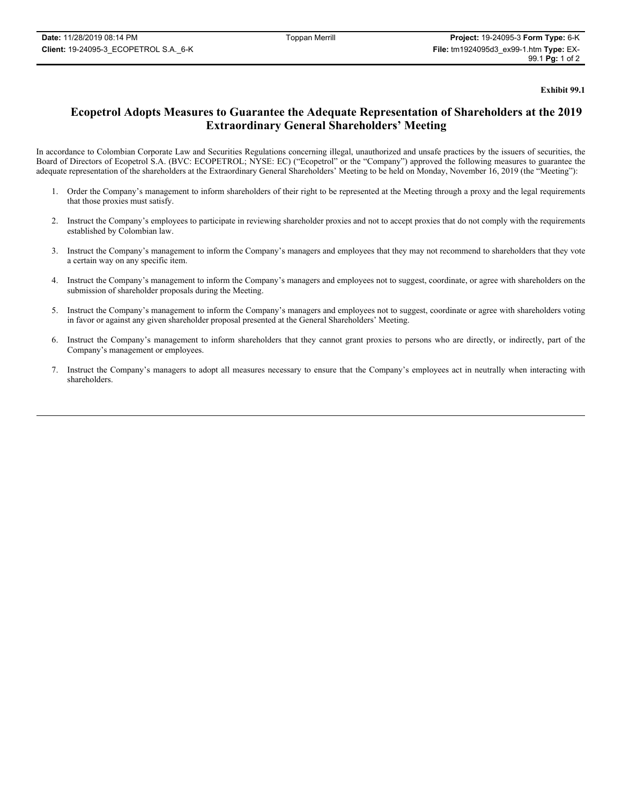**Exhibit 99.1**

# **Ecopetrol Adopts Measures to Guarantee the Adequate Representation of Shareholders at the 2019 Extraordinary General Shareholders' Meeting**

In accordance to Colombian Corporate Law and Securities Regulations concerning illegal, unauthorized and unsafe practices by the issuers of securities, the Board of Directors of Ecopetrol S.A. (BVC: ECOPETROL; NYSE: EC) ("Ecopetrol" or the "Company") approved the following measures to guarantee the adequate representation of the shareholders at the Extraordinary General Shareholders' Meeting to be held on Monday, November 16, 2019 (the "Meeting"):

- 1. Order the Company's management to inform shareholders of their right to be represented at the Meeting through a proxy and the legal requirements that those proxies must satisfy.
- 2. Instruct the Company's employees to participate in reviewing shareholder proxies and not to accept proxies that do not comply with the requirements established by Colombian law.
- 3. Instruct the Company's management to inform the Company's managers and employees that they may not recommend to shareholders that they vote a certain way on any specific item.
- 4. Instruct the Company's management to inform the Company's managers and employees not to suggest, coordinate, or agree with shareholders on the submission of shareholder proposals during the Meeting.
- 5. Instruct the Company's management to inform the Company's managers and employees not to suggest, coordinate or agree with shareholders voting in favor or against any given shareholder proposal presented at the General Shareholders' Meeting.
- 6. Instruct the Company's management to inform shareholders that they cannot grant proxies to persons who are directly, or indirectly, part of the Company's management or employees.
- 7. Instruct the Company's managers to adopt all measures necessary to ensure that the Company's employees act in neutrally when interacting with shareholders.